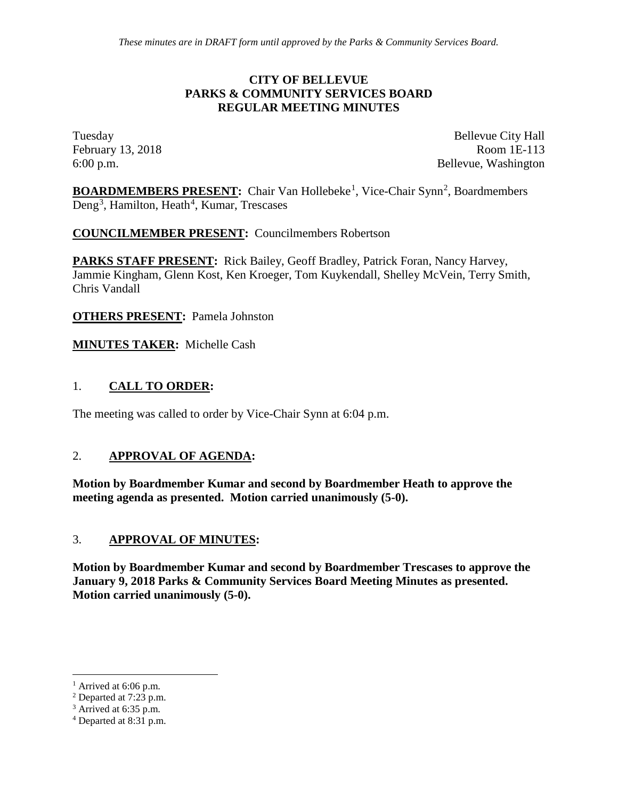## **Parks & Community Services Board**

**Regular Meeting**

## **March 13, 2018**

6:00 p.m. Bellevue City Hall Room 1E-113 450 110<sup>th</sup> Avenue NE Bellevue, WA